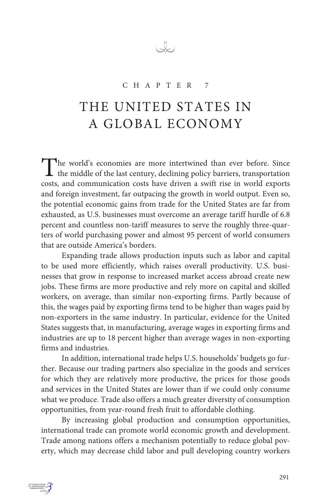#### CHAPTER 7

# THE UNITED STATES IN A GLOBAL ECONOMY

The world's economies are more intertwined than ever before. Since the middle of the last century, declining policy barriers, transportation costs, and communication costs have driven a swift rise in world exports and foreign investment, far outpacing the growth in world output. Even so, the potential economic gains from trade for the United States are far from exhausted, as U.S. businesses must overcome an average tariff hurdle of 6.8 percent and countless non-tariff measures to serve the roughly three-quarters of world purchasing power and almost 95 percent of world consumers that are outside America's borders.

Expanding trade allows production inputs such as labor and capital to be used more efficiently, which raises overall productivity. U.S. businesses that grow in response to increased market access abroad create new jobs. These firms are more productive and rely more on capital and skilled workers, on average, than similar non-exporting firms. Partly because of this, the wages paid by exporting firms tend to be higher than wages paid by non-exporters in the same industry. In particular, evidence for the United States suggests that, in manufacturing, average wages in exporting firms and industries are up to 18 percent higher than average wages in non-exporting firms and industries.

In addition, international trade helps U.S. households' budgets go further. Because our trading partners also specialize in the goods and services for which they are relatively more productive, the prices for those goods and services in the United States are lower than if we could only consume what we produce. Trade also offers a much greater diversity of consumption opportunities, from year-round fresh fruit to affordable clothing.

By increasing global production and consumption opportunities, international trade can promote world economic growth and development. Trade among nations offers a mechanism potentially to reduce global poverty, which may decrease child labor and pull developing country workers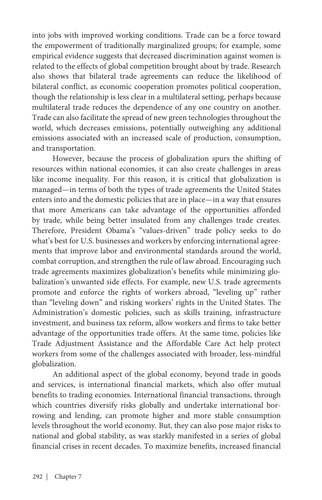into jobs with improved working conditions. Trade can be a force toward the empowerment of traditionally marginalized groups; for example, some empirical evidence suggests that decreased discrimination against women is related to the effects of global competition brought about by trade. Research also shows that bilateral trade agreements can reduce the likelihood of bilateral conflict, as economic cooperation promotes political cooperation, though the relationship is less clear in a multilateral setting, perhaps because multilateral trade reduces the dependence of any one country on another. Trade can also facilitate the spread of new green technologies throughout the world, which decreases emissions, potentially outweighing any additional emissions associated with an increased scale of production, consumption, and transportation.

However, because the process of globalization spurs the shifting of resources within national economies, it can also create challenges in areas like income inequality. For this reason, it is critical that globalization is managed—in terms of both the types of trade agreements the United States enters into and the domestic policies that are in place—in a way that ensures that more Americans can take advantage of the opportunities afforded by trade, while being better insulated from any challenges trade creates. Therefore, President Obama's "values-driven" trade policy seeks to do what's best for U.S. businesses and workers by enforcing international agreements that improve labor and environmental standards around the world, combat corruption, and strengthen the rule of law abroad. Encouraging such trade agreements maximizes globalization's benefits while minimizing globalization's unwanted side effects. For example, new U.S. trade agreements promote and enforce the rights of workers abroad, "leveling up" rather than "leveling down" and risking workers' rights in the United States. The Administration's domestic policies, such as skills training, infrastructure investment, and business tax reform, allow workers and firms to take better advantage of the opportunities trade offers. At the same time, policies like Trade Adjustment Assistance and the Affordable Care Act help protect workers from some of the challenges associated with broader, less-mindful globalization.

An additional aspect of the global economy, beyond trade in goods and services, is international financial markets, which also offer mutual benefits to trading economies. International financial transactions, through which countries diversify risks globally and undertake international borrowing and lending, can promote higher and more stable consumption levels throughout the world economy. But, they can also pose major risks to national and global stability, as was starkly manifested in a series of global financial crises in recent decades. To maximize benefits, increased financial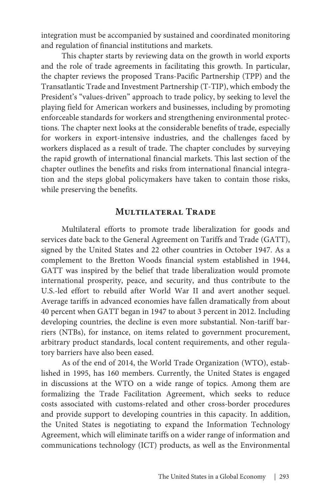integration must be accompanied by sustained and coordinated monitoring and regulation of financial institutions and markets.

This chapter starts by reviewing data on the growth in world exports and the role of trade agreements in facilitating this growth. In particular, the chapter reviews the proposed Trans-Pacific Partnership (TPP) and the Transatlantic Trade and Investment Partnership (T-TIP), which embody the President's "values-driven" approach to trade policy, by seeking to level the playing field for American workers and businesses, including by promoting enforceable standards for workers and strengthening environmental protections. The chapter next looks at the considerable benefits of trade, especially for workers in export-intensive industries, and the challenges faced by workers displaced as a result of trade. The chapter concludes by surveying the rapid growth of international financial markets. This last section of the chapter outlines the benefits and risks from international financial integration and the steps global policymakers have taken to contain those risks, while preserving the benefits.

#### **Multilateral Trade**

Multilateral efforts to promote trade liberalization for goods and services date back to the General Agreement on Tariffs and Trade (GATT), signed by the United States and 22 other countries in October 1947. As a complement to the Bretton Woods financial system established in 1944, GATT was inspired by the belief that trade liberalization would promote international prosperity, peace, and security, and thus contribute to the U.S.-led effort to rebuild after World War II and avert another sequel. Average tariffs in advanced economies have fallen dramatically from about 40 percent when GATT began in 1947 to about 3 percent in 2012. Including developing countries, the decline is even more substantial. Non-tariff barriers (NTBs), for instance, on items related to government procurement, arbitrary product standards, local content requirements, and other regulatory barriers have also been eased.

As of the end of 2014, the World Trade Organization (WTO), established in 1995, has 160 members. Currently, the United States is engaged in discussions at the WTO on a wide range of topics. Among them are formalizing the Trade Facilitation Agreement, which seeks to reduce costs associated with customs-related and other cross-border procedures and provide support to developing countries in this capacity. In addition, the United States is negotiating to expand the Information Technology Agreement, which will eliminate tariffs on a wider range of information and communications technology (ICT) products, as well as the Environmental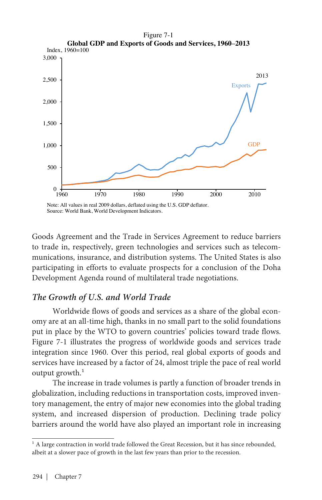

Note: All values in real 2009 dollars, deflated using the U.S. GDP deflator. Source: World Bank, World Development Indicators.

Goods Agreement and the Trade in Services Agreement to reduce barriers to trade in, respectively, green technologies and services such as telecommunications, insurance, and distribution systems. The United States is also participating in efforts to evaluate prospects for a conclusion of the Doha Development Agenda round of multilateral trade negotiations.

# *The Growth of U.S. and World Trade*

Worldwide flows of goods and services as a share of the global economy are at an all-time high, thanks in no small part to the solid foundations put in place by the WTO to govern countries' policies toward trade flows. Figure 7-1 illustrates the progress of worldwide goods and services trade integration since 1960. Over this period, real global exports of goods and services have increased by a factor of 24, almost triple the pace of real world output growth.<sup>1</sup>

The increase in trade volumes is partly a function of broader trends in globalization, including reductions in transportation costs, improved inventory management, the entry of major new economies into the global trading system, and increased dispersion of production. Declining trade policy barriers around the world have also played an important role in increasing

<sup>&</sup>lt;sup>1</sup> A large contraction in world trade followed the Great Recession, but it has since rebounded, albeit at a slower pace of growth in the last few years than prior to the recession.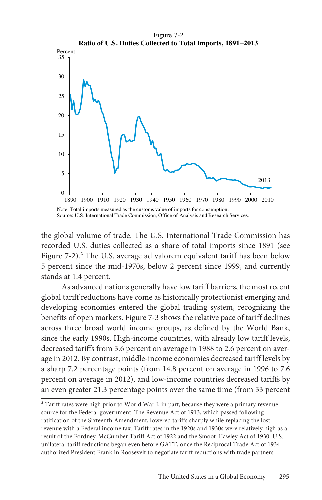

Note: Total imports measured as the customs value of imports for consumption. Source: U.S. International Trade Commission, Office of Analysis and Research Services.

the global volume of trade. The U.S. International Trade Commission has recorded U.S. duties collected as a share of total imports since 1891 (see Figure 7-2).<sup>2</sup> The U.S. average ad valorem equivalent tariff has been below 5 percent since the mid-1970s, below 2 percent since 1999, and currently stands at 1.4 percent.

As advanced nations generally have low tariff barriers, the most recent global tariff reductions have come as historically protectionist emerging and developing economies entered the global trading system, recognizing the benefits of open markets. Figure 7-3 shows the relative pace of tariff declines across three broad world income groups, as defined by the World Bank, since the early 1990s. High-income countries, with already low tariff levels, decreased tariffs from 3.6 percent on average in 1988 to 2.6 percent on average in 2012. By contrast, middle-income economies decreased tariff levels by a sharp 7.2 percentage points (from 14.8 percent on average in 1996 to 7.6 percent on average in 2012), and low-income countries decreased tariffs by an even greater 21.3 percentage points over the same time (from 33 percent

 $2$  Tariff rates were high prior to World War I, in part, because they were a primary revenue source for the Federal government. The Revenue Act of 1913, which passed following ratification of the Sixteenth Amendment, lowered tariffs sharply while replacing the lost revenue with a Federal income tax. Tariff rates in the 1920s and 1930s were relatively high as a result of the Fordney-McCumber Tariff Act of 1922 and the Smoot-Hawley Act of 1930. U.S. unilateral tariff reductions began even before GATT, once the Reciprocal Trade Act of 1934 authorized President Franklin Roosevelt to negotiate tariff reductions with trade partners.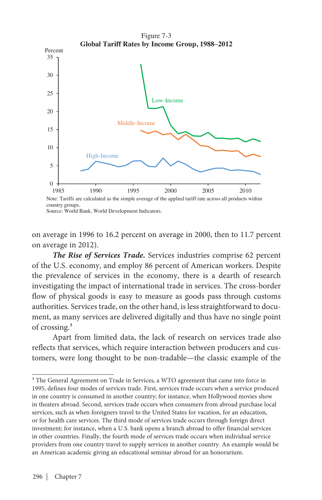

Source: World Bank, World Development Indicators.

on average in 1996 to 16.2 percent on average in 2000, then to 11.7 percent on average in 2012).

*The Rise of Services Trade.* Services industries comprise 62 percent of the U.S. economy, and employ 86 percent of American workers. Despite the prevalence of services in the economy, there is a dearth of research investigating the impact of international trade in services. The cross-border flow of physical goods is easy to measure as goods pass through customs authorities. Services trade, on the other hand, is less straightforward to document, as many services are delivered digitally and thus have no single point of crossing.<sup>3</sup>

Apart from limited data, the lack of research on services trade also reflects that services, which require interaction between producers and customers, were long thought to be non-tradable—the classic example of the

<sup>&</sup>lt;sup>3</sup> The General Agreement on Trade in Services, a WTO agreement that came into force in 1995, defines four modes of services trade. First, services trade occurs when a service produced in one country is consumed in another country; for instance, when Hollywood movies show in theaters abroad. Second, services trade occurs when consumers from abroad purchase local services, such as when foreigners travel to the United States for vacation, for an education, or for health care services. The third mode of services trade occurs through foreign direct investment; for instance, when a U.S. bank opens a branch abroad to offer financial services in other countries. Finally, the fourth mode of services trade occurs when individual service providers from one country travel to supply services in another country. An example would be an American academic giving an educational seminar abroad for an honorarium.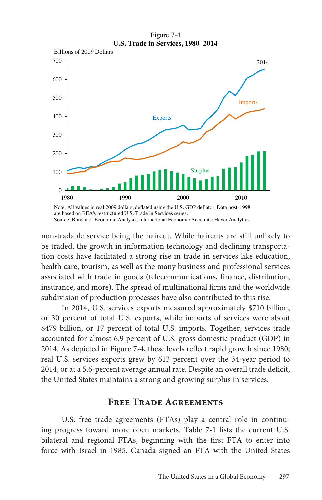Figure 7-4 **U.S. Trade in Services, 1980–2014**



Source: Bureau of Economic Analysis, International Economic Accounts; Haver Analytics.

non-tradable service being the haircut. While haircuts are still unlikely to be traded, the growth in information technology and declining transportation costs have facilitated a strong rise in trade in services like education, health care, tourism, as well as the many business and professional services associated with trade in goods (telecommunications, finance, distribution, insurance, and more). The spread of multinational firms and the worldwide subdivision of production processes have also contributed to this rise.

In 2014, U.S. services exports measured approximately \$710 billion, or 30 percent of total U.S. exports, while imports of services were about \$479 billion, or 17 percent of total U.S. imports. Together, services trade accounted for almost 6.9 percent of U.S. gross domestic product (GDP) in 2014. As depicted in Figure 7-4, these levels reflect rapid growth since 1980; real U.S. services exports grew by 613 percent over the 34-year period to 2014, or at a 5.6-percent average annual rate. Despite an overall trade deficit, the United States maintains a strong and growing surplus in services.

## **Free Trade Agreements**

U.S. free trade agreements (FTAs) play a central role in continuing progress toward more open markets. Table 7-1 lists the current U.S. bilateral and regional FTAs, beginning with the first FTA to enter into force with Israel in 1985. Canada signed an FTA with the United States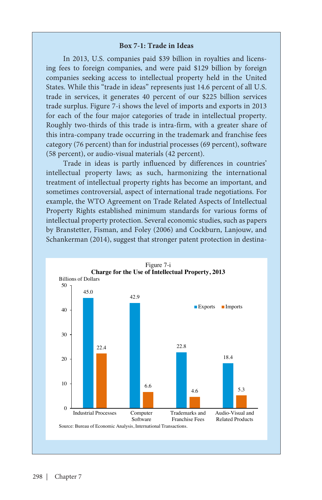#### **Box 7-1: Trade in Ideas**

In 2013, U.S. companies paid \$39 billion in royalties and licensing fees to foreign companies, and were paid \$129 billion by foreign companies seeking access to intellectual property held in the United States. While this "trade in ideas" represents just 14.6 percent of all U.S. trade in services, it generates 40 percent of our \$225 billion services trade surplus. Figure 7-i shows the level of imports and exports in 2013 for each of the four major categories of trade in intellectual property. Roughly two-thirds of this trade is intra-firm, with a greater share of this intra-company trade occurring in the trademark and franchise fees category (76 percent) than for industrial processes (69 percent), software (58 percent), or audio-visual materials (42 percent).

Trade in ideas is partly influenced by differences in countries' intellectual property laws; as such, harmonizing the international treatment of intellectual property rights has become an important, and sometimes controversial, aspect of international trade negotiations. For example, the WTO Agreement on Trade Related Aspects of Intellectual Property Rights established minimum standards for various forms of intellectual property protection. Several economic studies, such as papers by Branstetter, Fisman, and Foley (2006) and Cockburn, Lanjouw, and Schankerman (2014), suggest that stronger patent protection in destina-

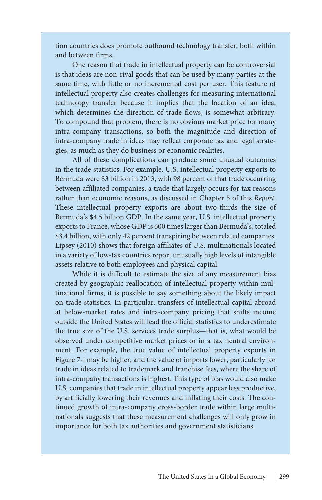tion countries does promote outbound technology transfer, both within and between firms.

One reason that trade in intellectual property can be controversial is that ideas are non-rival goods that can be used by many parties at the same time, with little or no incremental cost per user. This feature of intellectual property also creates challenges for measuring international technology transfer because it implies that the location of an idea, which determines the direction of trade flows, is somewhat arbitrary. To compound that problem, there is no obvious market price for many intra-company transactions, so both the magnitude and direction of intra-company trade in ideas may reflect corporate tax and legal strategies, as much as they do business or economic realities.

All of these complications can produce some unusual outcomes in the trade statistics. For example, U.S. intellectual property exports to Bermuda were \$3 billion in 2013, with 98 percent of that trade occurring between affiliated companies, a trade that largely occurs for tax reasons rather than economic reasons, as discussed in Chapter 5 of this *Report*. These intellectual property exports are about two-thirds the size of Bermuda's \$4.5 billion GDP. In the same year, U.S. intellectual property exports to France, whose GDP is 600 times larger than Bermuda's, totaled \$3.4 billion, with only 42 percent transpiring between related companies. Lipsey (2010) shows that foreign affiliates of U.S. multinationals located in a variety of low-tax countries report unusually high levels of intangible assets relative to both employees and physical capital.

While it is difficult to estimate the size of any measurement bias created by geographic reallocation of intellectual property within multinational firms, it is possible to say something about the likely impact on trade statistics. In particular, transfers of intellectual capital abroad at below-market rates and intra-company pricing that shifts income outside the United States will lead the official statistics to underestimate the true size of the U.S. services trade surplus—that is, what would be observed under competitive market prices or in a tax neutral environment. For example, the true value of intellectual property exports in Figure 7-i may be higher, and the value of imports lower, particularly for trade in ideas related to trademark and franchise fees, where the share of intra-company transactions is highest. This type of bias would also make U.S. companies that trade in intellectual property appear less productive, by artificially lowering their revenues and inflating their costs. The continued growth of intra-company cross-border trade within large multinationals suggests that these measurement challenges will only grow in importance for both tax authorities and government statisticians.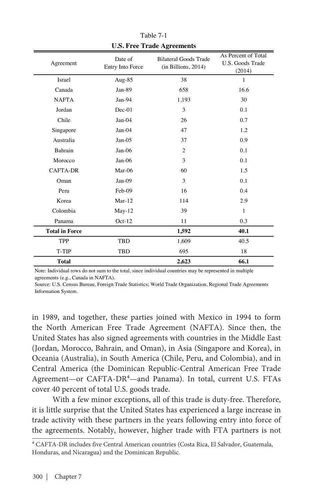| Agreement             | Date of<br>Entry Into Force | <b>Bilateral Goods Trade</b><br>(in Billions, 2014) | As Percent of Total<br>U.S. Goods Trade<br>(2014) |  |
|-----------------------|-----------------------------|-----------------------------------------------------|---------------------------------------------------|--|
| Israel                | Aug-85                      | 38                                                  | $\mathbf{1}$                                      |  |
| Canada                | Jan-89                      | 658                                                 | 16.6                                              |  |
| <b>NAFTA</b>          | Jan-94                      | 1,193                                               | 30                                                |  |
| Jordan                | Dec-01                      | 3                                                   | 0.1                                               |  |
| Chile                 | Jan-04                      | 26                                                  | 0.7                                               |  |
| Singapore             | $Jan-04$                    | 47                                                  | 1.2                                               |  |
| Australia             | $Jan-05$                    | 37                                                  | 0.9                                               |  |
| Bahrain               | Jan-06                      | $\overline{2}$                                      | 0.1                                               |  |
| Morocco               | Jan-06                      | 3                                                   | 0.1                                               |  |
| <b>CAFTA-DR</b>       | Mar-06                      | 60                                                  | 1.5                                               |  |
| Oman                  | Jan-09                      | 3                                                   | 0.1                                               |  |
| Peru                  | Feb-09                      | 16                                                  | 0.4                                               |  |
| Korea                 | $Mar-12$                    | 114                                                 | 2.9                                               |  |
| Colombia              | $May-12$                    | 39                                                  | $\mathbf{1}$                                      |  |
| Panama                | $Oct-12$                    | 11                                                  | 0.3                                               |  |
| <b>Total in Force</b> |                             | 1,592                                               | 40.1                                              |  |
| TPP                   | TBD                         | 1,609                                               | 40.5                                              |  |
| T-TIP                 | TBD                         | 695                                                 | 18                                                |  |
| <b>Total</b>          |                             | 2,623                                               | 66.1                                              |  |

Table 7-1 **U.S. Free Trade Agreements**

Note: Individual rows do not sum to the total, since individual countries may be represented in multiple agreements (e.g., Canada in NAFTA).

Source: U.S. Census Bureau, Foreign Trade Statistics; World Trade Organization, Regional Trade Agreements Information System.

in 1989, and together, these parties joined with Mexico in 1994 to form the North American Free Trade Agreement (NAFTA). Since then, the United States has also signed agreements with countries in the Middle East (Jordan, Morocco, Bahrain, and Oman), in Asia (Singapore and Korea), in Oceania (Australia), in South America (Chile, Peru, and Colombia), and in Central America (the Dominican Republic-Central American Free Trade Agreement—or CAFTA-DR<sup>4</sup>—and Panama). In total, current U.S. FTAs cover 40 percent of total U.S. goods trade.

With a few minor exceptions, all of this trade is duty-free. Therefore, it is little surprise that the United States has experienced a large increase in trade activity with these partners in the years following entry into force of the agreements. Notably, however, higher trade with FTA partners is not

<sup>4</sup> CAFTA-DR includes five Central American countries (Costa Rica, El Salvador, Guatemala, Honduras, and Nicaragua) and the Dominican Republic.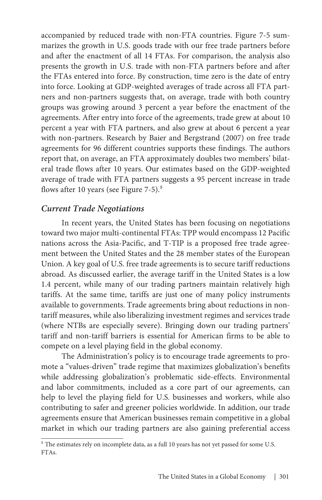accompanied by reduced trade with non-FTA countries. Figure 7-5 summarizes the growth in U.S. goods trade with our free trade partners before and after the enactment of all 14 FTAs. For comparison, the analysis also presents the growth in U.S. trade with non-FTA partners before and after the FTAs entered into force. By construction, time zero is the date of entry into force. Looking at GDP-weighted averages of trade across all FTA partners and non-partners suggests that, on average, trade with both country groups was growing around 3 percent a year before the enactment of the agreements. After entry into force of the agreements, trade grew at about 10 percent a year with FTA partners, and also grew at about 6 percent a year with non-partners. Research by Baier and Bergstrand (2007) on free trade agreements for 96 different countries supports these findings. The authors report that, on average, an FTA approximately doubles two members' bilateral trade flows after 10 years. Our estimates based on the GDP-weighted average of trade with FTA partners suggests a 95 percent increase in trade flows after 10 years (see Figure  $7-5$ ).<sup>5</sup>

# *Current Trade Negotiations*

In recent years, the United States has been focusing on negotiations toward two major multi-continental FTAs: TPP would encompass 12 Pacific nations across the Asia-Pacific, and T-TIP is a proposed free trade agreement between the United States and the 28 member states of the European Union. A key goal of U.S. free trade agreements is to secure tariff reductions abroad. As discussed earlier, the average tariff in the United States is a low 1.4 percent, while many of our trading partners maintain relatively high tariffs. At the same time, tariffs are just one of many policy instruments available to governments. Trade agreements bring about reductions in nontariff measures, while also liberalizing investment regimes and services trade (where NTBs are especially severe). Bringing down our trading partners' tariff and non-tariff barriers is essential for American firms to be able to compete on a level playing field in the global economy.

The Administration's policy is to encourage trade agreements to promote a "values-driven" trade regime that maximizes globalization's benefits while addressing globalization's problematic side-effects. Environmental and labor commitments, included as a core part of our agreements, can help to level the playing field for U.S. businesses and workers, while also contributing to safer and greener policies worldwide. In addition, our trade agreements ensure that American businesses remain competitive in a global market in which our trading partners are also gaining preferential access

<sup>&</sup>lt;sup>5</sup> The estimates rely on incomplete data, as a full 10 years has not yet passed for some U.S. FTAs.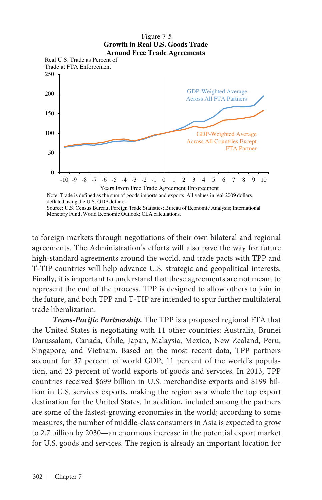

Monetary Fund, World Economic Outlook; CEA calculations.

to foreign markets through negotiations of their own bilateral and regional agreements. The Administration's efforts will also pave the way for future high-standard agreements around the world, and trade pacts with TPP and T-TIP countries will help advance U.S. strategic and geopolitical interests. Finally, it is important to understand that these agreements are not meant to represent the end of the process. TPP is designed to allow others to join in the future, and both TPP and T-TIP are intended to spur further multilateral trade liberalization.

*Trans-Pacific Partnership.* The TPP is a proposed regional FTA that the United States is negotiating with 11 other countries: Australia, Brunei Darussalam, Canada, Chile, Japan, Malaysia, Mexico, New Zealand, Peru, Singapore, and Vietnam. Based on the most recent data, TPP partners account for 37 percent of world GDP, 11 percent of the world's population, and 23 percent of world exports of goods and services. In 2013, TPP countries received \$699 billion in U.S. merchandise exports and \$199 billion in U.S. services exports, making the region as a whole the top export destination for the United States. In addition, included among the partners are some of the fastest-growing economies in the world; according to some measures, the number of middle-class consumers in Asia is expected to grow to 2.7 billion by 2030—an enormous increase in the potential export market for U.S. goods and services. The region is already an important location for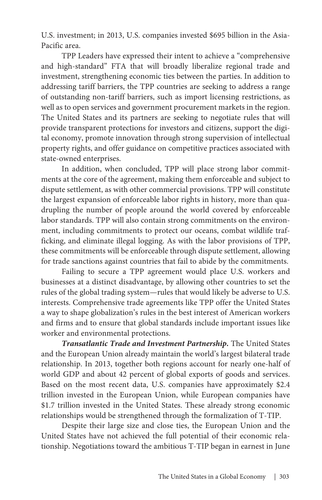U.S. investment; in 2013, U.S. companies invested \$695 billion in the Asia-Pacific area.

TPP Leaders have expressed their intent to achieve a "comprehensive and high-standard" FTA that will broadly liberalize regional trade and investment, strengthening economic ties between the parties. In addition to addressing tariff barriers, the TPP countries are seeking to address a range of outstanding non-tariff barriers, such as import licensing restrictions, as well as to open services and government procurement markets in the region. The United States and its partners are seeking to negotiate rules that will provide transparent protections for investors and citizens, support the digital economy, promote innovation through strong supervision of intellectual property rights, and offer guidance on competitive practices associated with state-owned enterprises.

In addition, when concluded, TPP will place strong labor commitments at the core of the agreement, making them enforceable and subject to dispute settlement, as with other commercial provisions. TPP will constitute the largest expansion of enforceable labor rights in history, more than quadrupling the number of people around the world covered by enforceable labor standards. TPP will also contain strong commitments on the environment, including commitments to protect our oceans, combat wildlife trafficking, and eliminate illegal logging. As with the labor provisions of TPP, these commitments will be enforceable through dispute settlement, allowing for trade sanctions against countries that fail to abide by the commitments.

Failing to secure a TPP agreement would place U.S. workers and businesses at a distinct disadvantage, by allowing other countries to set the rules of the global trading system—rules that would likely be adverse to U.S. interests. Comprehensive trade agreements like TPP offer the United States a way to shape globalization's rules in the best interest of American workers and firms and to ensure that global standards include important issues like worker and environmental protections.

*Transatlantic Trade and Investment Partnership.* The United States and the European Union already maintain the world's largest bilateral trade relationship. In 2013, together both regions account for nearly one-half of world GDP and about 42 percent of global exports of goods and services. Based on the most recent data, U.S. companies have approximately \$2.4 trillion invested in the European Union, while European companies have \$1.7 trillion invested in the United States. These already strong economic relationships would be strengthened through the formalization of T-TIP.

Despite their large size and close ties, the European Union and the United States have not achieved the full potential of their economic relationship. Negotiations toward the ambitious T-TIP began in earnest in June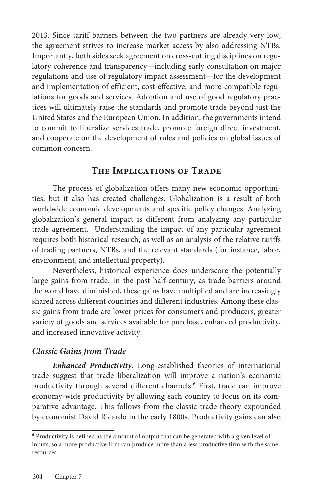2013. Since tariff barriers between the two partners are already very low, the agreement strives to increase market access by also addressing NTBs. Importantly, both sides seek agreement on cross-cutting disciplines on regulatory coherence and transparency—including early consultation on major regulations and use of regulatory impact assessment—for the development and implementation of efficient, cost-effective, and more-compatible regulations for goods and services. Adoption and use of good regulatory practices will ultimately raise the standards and promote trade beyond just the United States and the European Union. In addition, the governments intend to commit to liberalize services trade, promote foreign direct investment, and cooperate on the development of rules and policies on global issues of common concern.

# **The Implications of Trade**

The process of globalization offers many new economic opportunities, but it also has created challenges. Globalization is a result of both worldwide economic developments and specific policy changes. Analyzing globalization's general impact is different from analyzing any particular trade agreement. Understanding the impact of any particular agreement requires both historical research, as well as an analysis of the relative tariffs of trading partners, NTBs, and the relevant standards (for instance, labor, environment, and intellectual property).

Nevertheless, historical experience does underscore the potentially large gains from trade. In the past half-century, as trade barriers around the world have diminished, these gains have multiplied and are increasingly shared across different countries and different industries. Among these classic gains from trade are lower prices for consumers and producers, greater variety of goods and services available for purchase, enhanced productivity, and increased innovative activity.

# *Classic Gains from Trade*

*Enhanced Productivity.* Long-established theories of international trade suggest that trade liberalization will improve a nation's economic productivity through several different channels.<sup>6</sup> First, trade can improve economy-wide productivity by allowing each country to focus on its comparative advantage. This follows from the classic trade theory expounded by economist David Ricardo in the early 1800s. Productivity gains can also

<sup>6</sup> Productivity is defined as the amount of output that can be generated with a given level of inputs, so a more productive firm can produce more than a less productive firm with the same resources.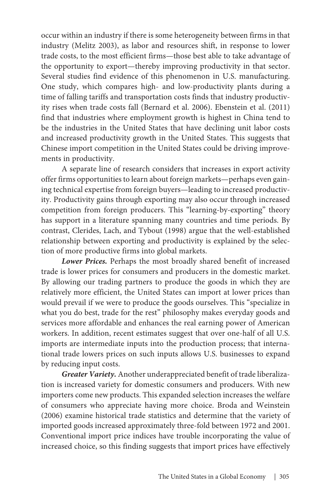occur within an industry if there is some heterogeneity between firms in that industry (Melitz 2003), as labor and resources shift, in response to lower trade costs, to the most efficient firms—those best able to take advantage of the opportunity to export—thereby improving productivity in that sector. Several studies find evidence of this phenomenon in U.S. manufacturing. One study, which compares high- and low-productivity plants during a time of falling tariffs and transportation costs finds that industry productivity rises when trade costs fall (Bernard et al. 2006). Ebenstein et al. (2011) find that industries where employment growth is highest in China tend to be the industries in the United States that have declining unit labor costs and increased productivity growth in the United States. This suggests that Chinese import competition in the United States could be driving improvements in productivity.

A separate line of research considers that increases in export activity offer firms opportunities to learn about foreign markets—perhaps even gaining technical expertise from foreign buyers—leading to increased productivity. Productivity gains through exporting may also occur through increased competition from foreign producers. This "learning-by-exporting" theory has support in a literature spanning many countries and time periods. By contrast, Clerides, Lach, and Tybout (1998) argue that the well-established relationship between exporting and productivity is explained by the selection of more productive firms into global markets.

*Lower Prices.* Perhaps the most broadly shared benefit of increased trade is lower prices for consumers and producers in the domestic market. By allowing our trading partners to produce the goods in which they are relatively more efficient, the United States can import at lower prices than would prevail if we were to produce the goods ourselves. This "specialize in what you do best, trade for the rest" philosophy makes everyday goods and services more affordable and enhances the real earning power of American workers. In addition, recent estimates suggest that over one-half of all U.S. imports are intermediate inputs into the production process; that international trade lowers prices on such inputs allows U.S. businesses to expand by reducing input costs.

*Greater Variety.* Another underappreciated benefit of trade liberaliza‑ tion is increased variety for domestic consumers and producers. With new importers come new products. This expanded selection increases the welfare of consumers who appreciate having more choice. Broda and Weinstein (2006) examine historical trade statistics and determine that the variety of imported goods increased approximately three-fold between 1972 and 2001. Conventional import price indices have trouble incorporating the value of increased choice, so this finding suggests that import prices have effectively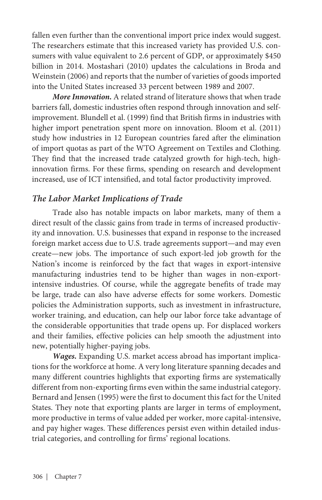fallen even further than the conventional import price index would suggest. The researchers estimate that this increased variety has provided U.S. consumers with value equivalent to 2.6 percent of GDP, or approximately \$450 billion in 2014. Mostashari (2010) updates the calculations in Broda and Weinstein (2006) and reports that the number of varieties of goods imported into the United States increased 33 percent between 1989 and 2007.

*More Innovation.* A related strand of literature shows that when trade barriers fall, domestic industries often respond through innovation and selfimprovement. Blundell et al. (1999) find that British firms in industries with higher import penetration spent more on innovation. Bloom et al. (2011) study how industries in 12 European countries fared after the elimination of import quotas as part of the WTO Agreement on Textiles and Clothing. They find that the increased trade catalyzed growth for high-tech, highinnovation firms. For these firms, spending on research and development increased, use of ICT intensified, and total factor productivity improved.

# *The Labor Market Implications of Trade*

Trade also has notable impacts on labor markets, many of them a direct result of the classic gains from trade in terms of increased productivity and innovation. U.S. businesses that expand in response to the increased foreign market access due to U.S. trade agreements support—and may even create—new jobs. The importance of such export-led job growth for the Nation's income is reinforced by the fact that wages in export-intensive manufacturing industries tend to be higher than wages in non-exportintensive industries. Of course, while the aggregate benefits of trade may be large, trade can also have adverse effects for some workers. Domestic policies the Administration supports, such as investment in infrastructure, worker training, and education, can help our labor force take advantage of the considerable opportunities that trade opens up. For displaced workers and their families, effective policies can help smooth the adjustment into new, potentially higher-paying jobs.

Wages. Expanding U.S. market access abroad has important implications for the workforce at home. A very long literature spanning decades and many different countries highlights that exporting firms are systematically different from non-exporting firms even within the same industrial category. Bernard and Jensen (1995) were the first to document this fact for the United States. They note that exporting plants are larger in terms of employment, more productive in terms of value added per worker, more capital-intensive, and pay higher wages. These differences persist even within detailed industrial categories, and controlling for firms' regional locations.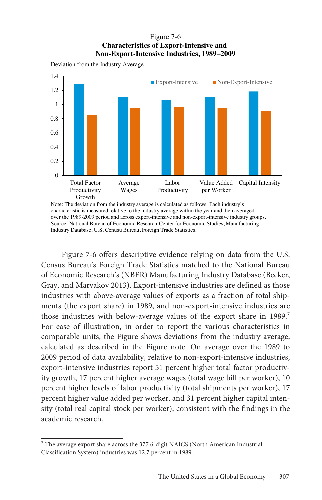Figure 7-6 **Characteristics of Export-Intensive and Non-Export-Intensive Industries, 1989–2009**

Deviation from the Industry Average



Note: The deviation from the industry average is calculated as follows. Each industry's characteristic is measured relative to the industry average within the year and then averaged over the 1989-2009 period and across export-intensive and non-export-intensive industry groups. Source: National Bureau of Economic Research-Center for Economic Studies, Manufacturing Industry Database; U.S. Cenusu Bureau, Foreign Trade Statistics.

Figure 7-6 offers descriptive evidence relying on data from the U.S. Census Bureau's Foreign Trade Statistics matched to the National Bureau of Economic Research's (NBER) Manufacturing Industry Database (Becker, Gray, and Marvakov 2013). Export-intensive industries are defined as those industries with above-average values of exports as a fraction of total shipments (the export share) in 1989, and non-export-intensive industries are those industries with below-average values of the export share in 1989.<sup>7</sup> For ease of illustration, in order to report the various characteristics in comparable units, the Figure shows deviations from the industry average, calculated as described in the Figure note. On average over the 1989 to 2009 period of data availability, relative to non-export-intensive industries, export-intensive industries report 51 percent higher total factor productivity growth, 17 percent higher average wages (total wage bill per worker), 10 percent higher levels of labor productivity (total shipments per worker), 17 percent higher value added per worker, and 31 percent higher capital intensity (total real capital stock per worker), consistent with the findings in the academic research.

<sup>7</sup> The average export share across the 377 6-digit NAICS (North American Industrial Classification System) industries was 12.7 percent in 1989.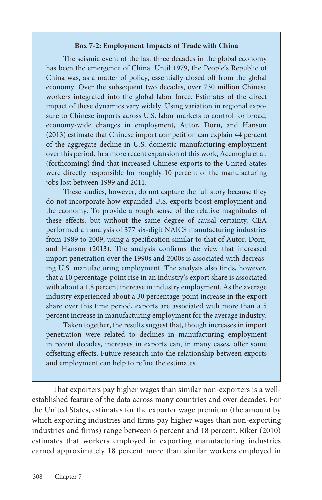#### **Box 7-2: Employment Impacts of Trade with China**

The seismic event of the last three decades in the global economy has been the emergence of China. Until 1979, the People's Republic of China was, as a matter of policy, essentially closed off from the global economy. Over the subsequent two decades, over 730 million Chinese workers integrated into the global labor force. Estimates of the direct impact of these dynamics vary widely. Using variation in regional exposure to Chinese imports across U.S. labor markets to control for broad, economy-wide changes in employment, Autor, Dorn, and Hanson (2013) estimate that Chinese import competition can explain 44 percent of the aggregate decline in U.S. domestic manufacturing employment over this period. In a more recent expansion of this work, Acemoglu et al. (forthcoming) find that increased Chinese exports to the United States were directly responsible for roughly 10 percent of the manufacturing jobs lost between 1999 and 2011.

These studies, however, do not capture the full story because they do not incorporate how expanded U.S. exports boost employment and the economy. To provide a rough sense of the relative magnitudes of these effects, but without the same degree of causal certainty, CEA performed an analysis of 377 six-digit NAICS manufacturing industries from 1989 to 2009, using a specification similar to that of Autor, Dorn, and Hanson (2013). The analysis confirms the view that increased import penetration over the 1990s and 2000s is associated with decreasing U.S. manufacturing employment. The analysis also finds, however, that a 10 percentage-point rise in an industry's export share is associated with about a 1.8 percent increase in industry employment. As the average industry experienced about a 30 percentage-point increase in the export share over this time period, exports are associated with more than a 5 percent increase in manufacturing employment for the average industry.

Taken together, the results suggest that, though increases in import penetration were related to declines in manufacturing employment in recent decades, increases in exports can, in many cases, offer some offsetting effects. Future research into the relationship between exports and employment can help to refine the estimates.

That exporters pay higher wages than similar non-exporters is a wellestablished feature of the data across many countries and over decades. For the United States, estimates for the exporter wage premium (the amount by which exporting industries and firms pay higher wages than non-exporting industries and firms) range between 6 percent and 18 percent. Riker (2010) estimates that workers employed in exporting manufacturing industries earned approximately 18 percent more than similar workers employed in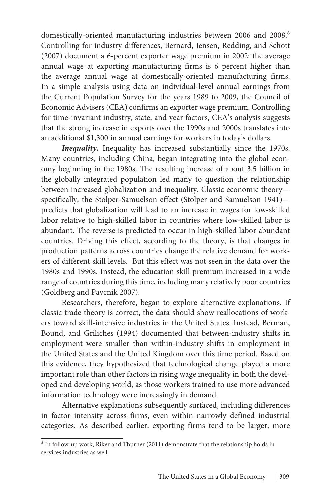domestically-oriented manufacturing industries between 2006 and 2008.<sup>8</sup> Controlling for industry differences, Bernard, Jensen, Redding, and Schott (2007) document a 6-percent exporter wage premium in 2002: the average annual wage at exporting manufacturing firms is 6 percent higher than the average annual wage at domestically-oriented manufacturing firms. In a simple analysis using data on individual-level annual earnings from the Current Population Survey for the years 1989 to 2009, the Council of Economic Advisers (CEA) confirms an exporter wage premium. Controlling for time-invariant industry, state, and year factors, CEA's analysis suggests that the strong increase in exports over the 1990s and 2000s translates into an additional \$1,300 in annual earnings for workers in today's dollars.

*Inequality.* Inequality has increased substantially since the 1970s. Many countries, including China, began integrating into the global economy beginning in the 1980s. The resulting increase of about 3.5 billion in the globally integrated population led many to question the relationship between increased globalization and inequality. Classic economic theory specifically, the Stolper-Samuelson effect (Stolper and Samuelson 1941) predicts that globalization will lead to an increase in wages for low-skilled labor relative to high-skilled labor in countries where low-skilled labor is abundant. The reverse is predicted to occur in high-skilled labor abundant countries. Driving this effect, according to the theory, is that changes in production patterns across countries change the relative demand for workers of different skill levels. But this effect was not seen in the data over the 1980s and 1990s. Instead, the education skill premium increased in a wide range of countries during this time, including many relatively poor countries (Goldberg and Pavcnik 2007).

Researchers, therefore, began to explore alternative explanations. If classic trade theory is correct, the data should show reallocations of workers toward skill-intensive industries in the United States. Instead, Berman, Bound, and Griliches (1994) documented that between-industry shifts in employment were smaller than within-industry shifts in employment in the United States and the United Kingdom over this time period. Based on this evidence, they hypothesized that technological change played a more important role than other factors in rising wage inequality in both the developed and developing world, as those workers trained to use more advanced information technology were increasingly in demand.

Alternative explanations subsequently surfaced, including differences in factor intensity across firms, even within narrowly defined industrial categories. As described earlier, exporting firms tend to be larger, more

<sup>8</sup> In follow-up work, Riker and Thurner (2011) demonstrate that the relationship holds in services industries as well.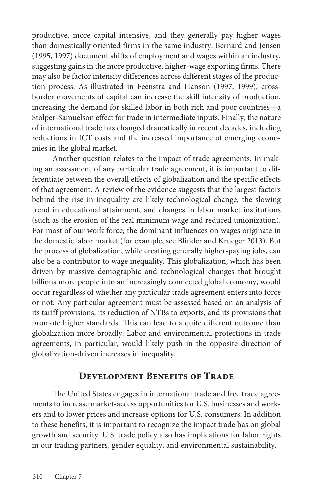productive, more capital intensive, and they generally pay higher wages than domestically oriented firms in the same industry. Bernard and Jensen (1995, 1997) document shifts of employment and wages within an industry, suggesting gains in the more productive, higher-wage exporting firms. There may also be factor intensity differences across different stages of the production process. As illustrated in Feenstra and Hanson (1997, 1999), crossborder movements of capital can increase the skill intensity of production, increasing the demand for skilled labor in both rich and poor countries—a Stolper-Samuelson effect for trade in intermediate inputs. Finally, the nature of international trade has changed dramatically in recent decades, including reductions in ICT costs and the increased importance of emerging economies in the global market.

Another question relates to the impact of trade agreements. In making an assessment of any particular trade agreement, it is important to differentiate between the overall effects of globalization and the specific effects of that agreement. A review of the evidence suggests that the largest factors behind the rise in inequality are likely technological change, the slowing trend in educational attainment, and changes in labor market institutions (such as the erosion of the real minimum wage and reduced unionization). For most of our work force, the dominant influences on wages originate in the domestic labor market (for example, see Blinder and Krueger 2013). But the process of globalization, while creating generally higher-paying jobs, can also be a contributor to wage inequality. This globalization, which has been driven by massive demographic and technological changes that brought billions more people into an increasingly connected global economy, would occur regardless of whether any particular trade agreement enters into force or not. Any particular agreement must be assessed based on an analysis of its tariff provisions, its reduction of NTBs to exports, and its provisions that promote higher standards. This can lead to a quite different outcome than globalization more broadly. Labor and environmental protections in trade agreements, in particular, would likely push in the opposite direction of globalization-driven increases in inequality.

## **Development Benefits of Trade**

The United States engages in international trade and free trade agreements to increase market-access opportunities for U.S. businesses and workers and to lower prices and increase options for U.S. consumers. In addition to these benefits, it is important to recognize the impact trade has on global growth and security. U.S. trade policy also has implications for labor rights in our trading partners, gender equality, and environmental sustainability.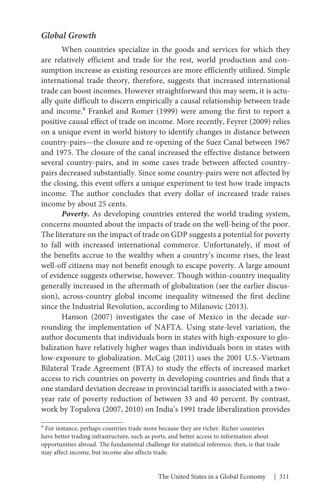# *Global Growth*

When countries specialize in the goods and services for which they are relatively efficient and trade for the rest, world production and consumption increase as existing resources are more efficiently utilized. Simple international trade theory, therefore, suggests that increased international trade can boost incomes. However straightforward this may seem, it is actually quite difficult to discern empirically a causal relationship between trade and income.<sup>9</sup> Frankel and Romer (1999) were among the first to report a positive causal effect of trade on income. More recently, Feyrer (2009) relies on a unique event in world history to identify changes in distance between country-pairs—the closure and re-opening of the Suez Canal between 1967 and 1975. The closure of the canal increased the effective distance between several country-pairs, and in some cases trade between affected countrypairs decreased substantially. Since some country-pairs were not affected by the closing, this event offers a unique experiment to test how trade impacts income. The author concludes that every dollar of increased trade raises income by about 25 cents.

*Poverty.* As developing countries entered the world trading system, concerns mounted about the impacts of trade on the well-being of the poor. The literature on the impact of trade on GDP suggests a potential for poverty to fall with increased international commerce. Unfortunately, if most of the benefits accrue to the wealthy when a country's income rises, the least well-off citizens may not benefit enough to escape poverty. A large amount of evidence suggests otherwise, however. Though within-country inequality generally increased in the aftermath of globalization (see the earlier discussion), across-country global income inequality witnessed the first decline since the Industrial Revolution, according to Milanovic (2013).

Hanson (2007) investigates the case of Mexico in the decade surrounding the implementation of NAFTA. Using state-level variation, the author documents that individuals born in states with high-exposure to globalization have relatively higher wages than individuals born in states with low-exposure to globalization. McCaig (2011) uses the 2001 U.S.-Vietnam Bilateral Trade Agreement (BTA) to study the effects of increased market access to rich countries on poverty in developing countries and finds that a one standard deviation decrease in provincial tariffs is associated with a twoyear rate of poverty reduction of between 33 and 40 percent. By contrast, work by Topalova (2007, 2010) on India's 1991 trade liberalization provides

<sup>9</sup> For instance, perhaps countries trade more because they are richer. Richer countries have better trading infrastructure, such as ports, and better access to information about opportunities abroad. The fundamental challenge for statistical inference, then, is that trade may affect income, but income also affects trade.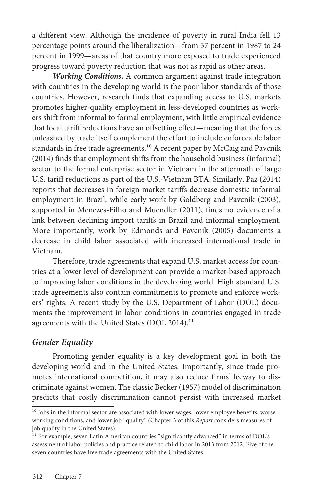a different view. Although the incidence of poverty in rural India fell 13 percentage points around the liberalization—from 37 percent in 1987 to 24 percent in 1999—areas of that country more exposed to trade experienced progress toward poverty reduction that was not as rapid as other areas.

*Working Conditions.* A common argument against trade integration with countries in the developing world is the poor labor standards of those countries. However, research finds that expanding access to U.S. markets promotes higher-quality employment in less-developed countries as workers shift from informal to formal employment, with little empirical evidence that local tariff reductions have an offsetting effect—meaning that the forces unleashed by trade itself complement the effort to include enforceable labor standards in free trade agreements.<sup>10</sup> A recent paper by McCaig and Pavcnik (2014) finds that employment shifts from the household business (informal) sector to the formal enterprise sector in Vietnam in the aftermath of large U.S. tariff reductions as part of the U.S.-Vietnam BTA. Similarly, Paz (2014) reports that decreases in foreign market tariffs decrease domestic informal employment in Brazil, while early work by Goldberg and Pavcnik (2003), supported in Menezes-Filho and Muendler (2011), finds no evidence of a link between declining import tariffs in Brazil and informal employment. More importantly, work by Edmonds and Pavcnik (2005) documents a decrease in child labor associated with increased international trade in Vietnam.

Therefore, trade agreements that expand U.S. market access for countries at a lower level of development can provide a market-based approach to improving labor conditions in the developing world. High standard U.S. trade agreements also contain commitments to promote and enforce workers' rights. A recent study by the U.S. Department of Labor (DOL) documents the improvement in labor conditions in countries engaged in trade agreements with the United States (DOL 2014).<sup>11</sup>

# *Gender Equality*

Promoting gender equality is a key development goal in both the developing world and in the United States. Importantly, since trade promotes international competition, it may also reduce firms' leeway to discriminate against women. The classic Becker (1957) model of discrimination predicts that costly discrimination cannot persist with increased market

<sup>&</sup>lt;sup>10</sup> Jobs in the informal sector are associated with lower wages, lower employee benefits, worse working conditions, and lower job "quality" (Chapter 3 of this *Report* considers measures of job quality in the United States).

<sup>&</sup>lt;sup>11</sup> For example, seven Latin American countries "significantly advanced" in terms of DOL's assessment of labor policies and practice related to child labor in 2013 from 2012. Five of the seven countries have free trade agreements with the United States.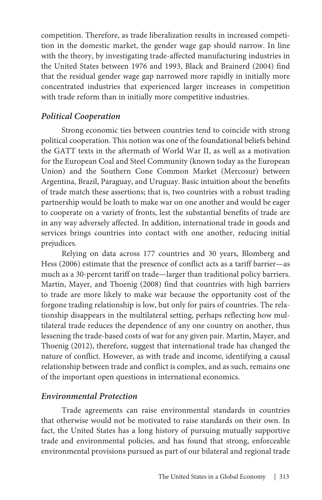competition. Therefore, as trade liberalization results in increased competi‑ tion in the domestic market, the gender wage gap should narrow. In line with the theory, by investigating trade-affected manufacturing industries in the United States between 1976 and 1993, Black and Brainerd (2004) find that the residual gender wage gap narrowed more rapidly in initially more concentrated industries that experienced larger increases in competition with trade reform than in initially more competitive industries.

# *Political Cooperation*

Strong economic ties between countries tend to coincide with strong political cooperation. This notion was one of the foundational beliefs behind the GATT texts in the aftermath of World War II, as well as a motivation for the European Coal and Steel Community (known today as the European Union) and the Southern Cone Common Market (Mercosur) between Argentina, Brazil, Paraguay, and Uruguay. Basic intuition about the benefits of trade match these assertions; that is, two countries with a robust trading partnership would be loath to make war on one another and would be eager to cooperate on a variety of fronts, lest the substantial benefits of trade are in any way adversely affected. In addition, international trade in goods and services brings countries into contact with one another, reducing initial prejudices.

Relying on data across 177 countries and 30 years, Blomberg and Hess (2006) estimate that the presence of conflict acts as a tariff barrier—as much as a 30-percent tariff on trade—larger than traditional policy barriers. Martin, Mayer, and Thoenig (2008) find that countries with high barriers to trade are more likely to make war because the opportunity cost of the forgone trading relationship is low, but only for pairs of countries. The relationship disappears in the multilateral setting, perhaps reflecting how multilateral trade reduces the dependence of any one country on another, thus lessening the trade-based costs of war for any given pair. Martin, Mayer, and Thoenig (2012), therefore, suggest that international trade has changed the nature of conflict. However, as with trade and income, identifying a causal relationship between trade and conflict is complex, and as such, remains one of the important open questions in international economics.

# *Environmental Protection*

Trade agreements can raise environmental standards in countries that otherwise would not be motivated to raise standards on their own. In fact, the United States has a long history of pursuing mutually supportive trade and environmental policies, and has found that strong, enforceable environmental provisions pursued as part of our bilateral and regional trade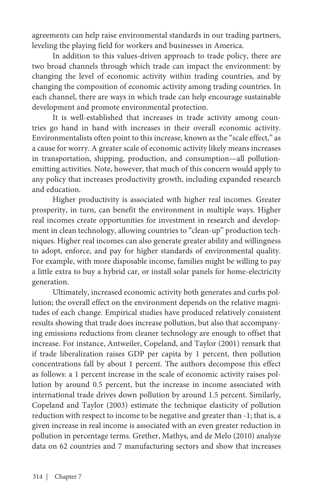agreements can help raise environmental standards in our trading partners, leveling the playing field for workers and businesses in America.

In addition to this values-driven approach to trade policy, there are two broad channels through which trade can impact the environment: by changing the level of economic activity within trading countries, and by changing the composition of economic activity among trading countries. In each channel, there are ways in which trade can help encourage sustainable development and promote environmental protection.

It is well-established that increases in trade activity among countries go hand in hand with increases in their overall economic activity. Environmentalists often point to this increase, known as the "scale effect," as a cause for worry. A greater scale of economic activity likely means increases in transportation, shipping, production, and consumption—all pollutionemitting activities. Note, however, that much of this concern would apply to any policy that increases productivity growth, including expanded research and education.

Higher productivity is associated with higher real incomes. Greater prosperity, in turn, can benefit the environment in multiple ways. Higher real incomes create opportunities for investment in research and development in clean technology, allowing countries to "clean-up" production techniques. Higher real incomes can also generate greater ability and willingness to adopt, enforce, and pay for higher standards of environmental quality. For example, with more disposable income, families might be willing to pay a little extra to buy a hybrid car, or install solar panels for home-electricity generation.

Ultimately, increased economic activity both generates and curbs pollution; the overall effect on the environment depends on the relative magnitudes of each change. Empirical studies have produced relatively consistent results showing that trade does increase pollution, but also that accompanying emissions reductions from cleaner technology are enough to offset that increase. For instance, Antweiler, Copeland, and Taylor (2001) remark that if trade liberalization raises GDP per capita by 1 percent, then pollution concentrations fall by about 1 percent. The authors decompose this effect as follows: a 1 percent increase in the scale of economic activity raises pollution by around 0.5 percent, but the increase in income associated with international trade drives down pollution by around 1.5 percent. Similarly, Copeland and Taylor (2003) estimate the technique elasticity of pollution reduction with respect to income to be negative and greater than -1; that is, a given increase in real income is associated with an even greater reduction in pollution in percentage terms. Grether, Mathys, and de Melo (2010) analyze data on 62 countries and 7 manufacturing sectors and show that increases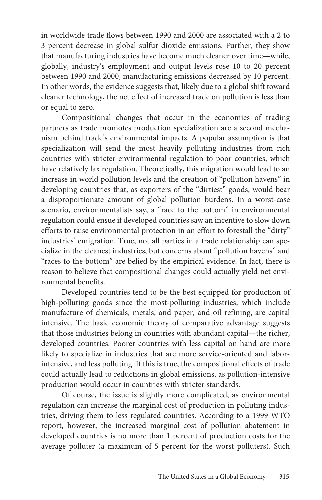in worldwide trade flows between 1990 and 2000 are associated with a 2 to 3 percent decrease in global sulfur dioxide emissions. Further, they show that manufacturing industries have become much cleaner over time—while, globally, industry's employment and output levels rose 10 to 20 percent between 1990 and 2000, manufacturing emissions decreased by 10 percent. In other words, the evidence suggests that, likely due to a global shift toward cleaner technology, the net effect of increased trade on pollution is less than or equal to zero.

Compositional changes that occur in the economies of trading partners as trade promotes production specialization are a second mechanism behind trade's environmental impacts. A popular assumption is that specialization will send the most heavily polluting industries from rich countries with stricter environmental regulation to poor countries, which have relatively lax regulation. Theoretically, this migration would lead to an increase in world pollution levels and the creation of "pollution havens" in developing countries that, as exporters of the "dirtiest" goods, would bear a disproportionate amount of global pollution burdens. In a worst-case scenario, environmentalists say, a "race to the bottom" in environmental regulation could ensue if developed countries saw an incentive to slow down efforts to raise environmental protection in an effort to forestall the "dirty" industries' emigration. True, not all parties in a trade relationship can specialize in the cleanest industries, but concerns about "pollution havens" and "races to the bottom" are belied by the empirical evidence. In fact, there is reason to believe that compositional changes could actually yield net environmental benefits.

Developed countries tend to be the best equipped for production of high-polluting goods since the most-polluting industries, which include manufacture of chemicals, metals, and paper, and oil refining, are capital intensive. The basic economic theory of comparative advantage suggests that those industries belong in countries with abundant capital—the richer, developed countries. Poorer countries with less capital on hand are more likely to specialize in industries that are more service-oriented and laborintensive, and less polluting. If this is true, the compositional effects of trade could actually lead to reductions in global emissions, as pollution-intensive production would occur in countries with stricter standards.

Of course, the issue is slightly more complicated, as environmental regulation can increase the marginal cost of production in polluting industries, driving them to less regulated countries. According to a 1999 WTO report, however, the increased marginal cost of pollution abatement in developed countries is no more than 1 percent of production costs for the average polluter (a maximum of 5 percent for the worst polluters). Such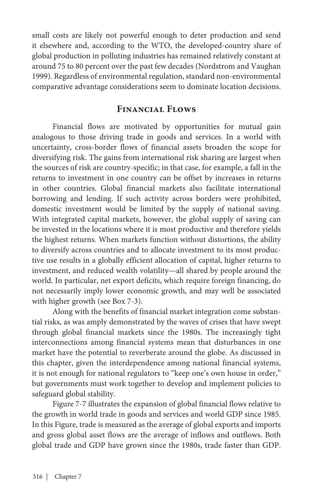small costs are likely not powerful enough to deter production and send it elsewhere and, according to the WTO, the developed-country share of global production in polluting industries has remained relatively constant at around 75 to 80 percent over the past few decades (Nordstrom and Vaughan 1999). Regardless of environmental regulation, standard non-environmental comparative advantage considerations seem to dominate location decisions.

### **Financial Flows**

Financial flows are motivated by opportunities for mutual gain analogous to those driving trade in goods and services. In a world with uncertainty, cross-border flows of financial assets broaden the scope for diversifying risk. The gains from international risk sharing are largest when the sources of risk are country-specific; in that case, for example, a fall in the returns to investment in one country can be offset by increases in returns in other countries. Global financial markets also facilitate international borrowing and lending. If such activity across borders were prohibited, domestic investment would be limited by the supply of national saving. With integrated capital markets, however, the global supply of saving can be invested in the locations where it is most productive and therefore yields the highest returns. When markets function without distortions, the ability to diversify across countries and to allocate investment to its most productive use results in a globally efficient allocation of capital, higher returns to investment, and reduced wealth volatility—all shared by people around the world. In particular, net export deficits, which require foreign financing, do not necessarily imply lower economic growth, and may well be associated with higher growth (see Box 7-3).

Along with the benefits of financial market integration come substantial risks, as was amply demonstrated by the waves of crises that have swept through global financial markets since the 1980s. The increasingly tight interconnections among financial systems mean that disturbances in one market have the potential to reverberate around the globe. As discussed in this chapter, given the interdependence among national financial systems, it is not enough for national regulators to "keep one's own house in order," but governments must work together to develop and implement policies to safeguard global stability.

Figure 7-7 illustrates the expansion of global financial flows relative to the growth in world trade in goods and services and world GDP since 1985. In this Figure, trade is measured as the average of global exports and imports and gross global asset flows are the average of inflows and outflows. Both global trade and GDP have grown since the 1980s, trade faster than GDP.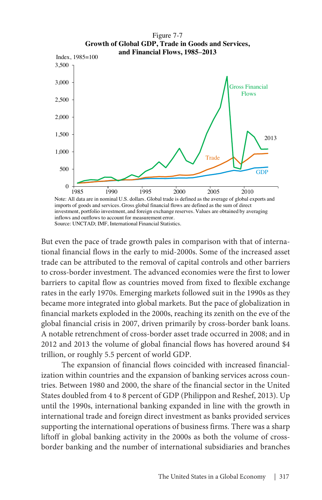

Figure 7-7 **Growth of Global GDP, Trade in Goods and Services,** 

But even the pace of trade growth pales in comparison with that of international financial flows in the early to mid-2000s. Some of the increased asset trade can be attributed to the removal of capital controls and other barriers to cross-border investment. The advanced economies were the first to lower barriers to capital flow as countries moved from fixed to flexible exchange rates in the early 1970s. Emerging markets followed suit in the 1990s as they became more integrated into global markets. But the pace of globalization in financial markets exploded in the 2000s, reaching its zenith on the eve of the global financial crisis in 2007, driven primarily by cross-border bank loans. A notable retrenchment of cross-border asset trade occurred in 2008; and in 2012 and 2013 the volume of global financial flows has hovered around \$4 trillion, or roughly 5.5 percent of world GDP.

The expansion of financial flows coincided with increased financialization within countries and the expansion of banking services across countries. Between 1980 and 2000, the share of the financial sector in the United States doubled from 4 to 8 percent of GDP (Philippon and Reshef, 2013). Up until the 1990s, international banking expanded in line with the growth in international trade and foreign direct investment as banks provided services supporting the international operations of business firms. There was a sharp liftoff in global banking activity in the 2000s as both the volume of crossborder banking and the number of international subsidiaries and branches

Note: All data are in nominal U.S. dollars. Global trade is defined as the average of global exports and imports of goods and services. Gross global financial flows are defined as the sum of direct investment, portfolio investment, and foreign exchange reserves. Values are obtained by averaging inflows and outflows to account for measurement error. Source: UNCTAD; IMF, International Financial Statistics.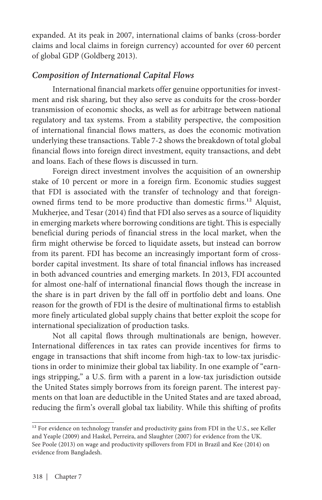expanded. At its peak in 2007, international claims of banks (cross-border claims and local claims in foreign currency) accounted for over 60 percent of global GDP (Goldberg 2013).

# *Composition of International Capital Flows*

International financial markets offer genuine opportunities for investment and risk sharing, but they also serve as conduits for the cross-border transmission of economic shocks, as well as for arbitrage between national regulatory and tax systems. From a stability perspective, the composition of international financial flows matters, as does the economic motivation underlying these transactions. Table 7-2 shows the breakdown of total global financial flows into foreign direct investment, equity transactions, and debt and loans. Each of these flows is discussed in turn.

Foreign direct investment involves the acquisition of an ownership stake of 10 percent or more in a foreign firm. Economic studies suggest that FDI is associated with the transfer of technology and that foreignowned firms tend to be more productive than domestic firms.<sup>12</sup> Alquist, Mukherjee, and Tesar (2014) find that FDI also serves as a source of liquidity in emerging markets where borrowing conditions are tight. This is especially beneficial during periods of financial stress in the local market, when the firm might otherwise be forced to liquidate assets, but instead can borrow from its parent. FDI has become an increasingly important form of crossborder capital investment. Its share of total financial inflows has increased in both advanced countries and emerging markets. In 2013, FDI accounted for almost one-half of international financial flows though the increase in the share is in part driven by the fall off in portfolio debt and loans. One reason for the growth of FDI is the desire of multinational firms to establish more finely articulated global supply chains that better exploit the scope for international specialization of production tasks.

Not all capital flows through multinationals are benign, however. International differences in tax rates can provide incentives for firms to engage in transactions that shift income from high-tax to low-tax jurisdictions in order to minimize their global tax liability. In one example of "earnings stripping," a U.S. firm with a parent in a low-tax jurisdiction outside the United States simply borrows from its foreign parent. The interest payments on that loan are deductible in the United States and are taxed abroad, reducing the firm's overall global tax liability. While this shifting of profits

<sup>&</sup>lt;sup>12</sup> For evidence on technology transfer and productivity gains from FDI in the U.S., see Keller and Yeaple (2009) and Haskel, Perreira, and Slaughter (2007) for evidence from the UK. See Poole (2013) on wage and productivity spillovers from FDI in Brazil and Kee (2014) on evidence from Bangladesh.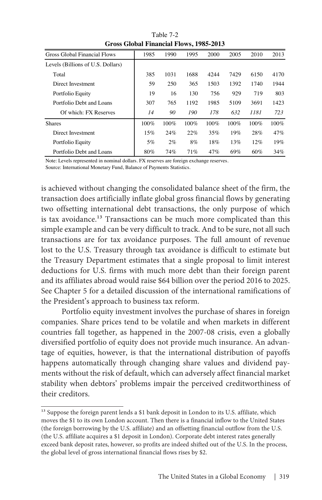| OLODD OIODWL LINMHCHML LIO HDI LOOC HOLD |      |       |      |         |      |      |      |
|------------------------------------------|------|-------|------|---------|------|------|------|
| Gross Global Financial Flows             | 1985 | 1990  | 1995 | 2000    | 2005 | 2010 | 2013 |
| Levels (Billions of U.S. Dollars)        |      |       |      |         |      |      |      |
| Total                                    | 385  | 1031  | 1688 | 4244    | 7429 | 6150 | 4170 |
| Direct Investment                        | 59   | 250   | 365  | 1503    | 1392 | 1740 | 1944 |
| Portfolio Equity                         | 19   | 16    | 130  | 756     | 929  | 719  | 803  |
| Portfolio Debt and Loans                 | 307  | 765   | 1192 | 1985    | 5109 | 3691 | 1423 |
| Of which: FX Reserves                    | 14   | 90    | 190  | 178     | 632  | 1181 | 723  |
| <b>Shares</b>                            | 100% | 100%  | 100% | $100\%$ | 100% | 100% | 100% |
| Direct Investment                        | 15%  | 24%   | 22%  | 35%     | 19%  | 28%  | 47%  |
| Portfolio Equity                         | 5%   | $2\%$ | 8%   | 18%     | 13%  | 12%  | 19%  |
| Portfolio Debt and Loans                 | 80%  | 74%   | 71%  | 47%     | 69%  | 60%  | 34%  |

Table 7-2 **Gross Global Financial Flows, 1985-2013**

Note: Levels represented in nominal dollars. FX reserves are foreign exchange reserves. Source: International Monetary Fund, Balance of Payments Statistics.

is achieved without changing the consolidated balance sheet of the firm, the transaction does artificially inflate global gross financial flows by generating two offsetting international debt transactions, the only purpose of which is tax avoidance.<sup>13</sup> Transactions can be much more complicated than this simple example and can be very difficult to track. And to be sure, not all such transactions are for tax avoidance purposes. The full amount of revenue lost to the U.S. Treasury through tax avoidance is difficult to estimate but the Treasury Department estimates that a single proposal to limit interest deductions for U.S. firms with much more debt than their foreign parent and its affiliates abroad would raise \$64 billion over the period 2016 to 2025. See Chapter 5 for a detailed discussion of the international ramifications of the President's approach to business tax reform.

Portfolio equity investment involves the purchase of shares in foreign companies. Share prices tend to be volatile and when markets in different countries fall together, as happened in the 2007-08 crisis, even a globally diversified portfolio of equity does not provide much insurance. An advantage of equities, however, is that the international distribution of payoffs happens automatically through changing share values and dividend payments without the risk of default, which can adversely affect financial market stability when debtors' problems impair the perceived creditworthiness of their creditors.

<sup>&</sup>lt;sup>13</sup> Suppose the foreign parent lends a \$1 bank deposit in London to its U.S. affiliate, which moves the \$1 to its own London account. Then there is a financial inflow to the United States (the foreign borrowing by the U.S. affiliate) and an offsetting financial outflow from the U.S. (the U.S. affiliate acquires a \$1 deposit in London). Corporate debt interest rates generally exceed bank deposit rates, however, so profits are indeed shifted out of the U.S. In the process, the global level of gross international financial flows rises by \$2.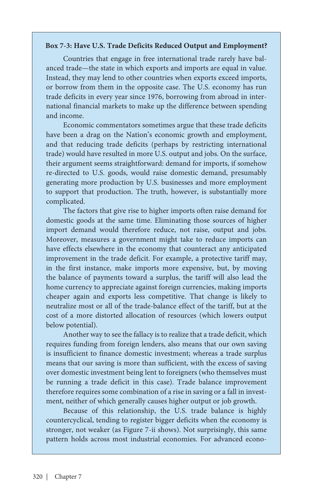#### **Box 7-3: Have U.S. Trade Deficits Reduced Output and Employment?**

Countries that engage in free international trade rarely have balanced trade—the state in which exports and imports are equal in value. Instead, they may lend to other countries when exports exceed imports, or borrow from them in the opposite case. The U.S. economy has run trade deficits in every year since 1976, borrowing from abroad in international financial markets to make up the difference between spending and income.

Economic commentators sometimes argue that these trade deficits have been a drag on the Nation's economic growth and employment, and that reducing trade deficits (perhaps by restricting international trade) would have resulted in more U.S. output and jobs. On the surface, their argument seems straightforward: demand for imports, if somehow re-directed to U.S. goods, would raise domestic demand, presumably generating more production by U.S. businesses and more employment to support that production. The truth, however, is substantially more complicated.

The factors that give rise to higher imports often raise demand for domestic goods at the same time. Eliminating those sources of higher import demand would therefore reduce, not raise, output and jobs. Moreover, measures a government might take to reduce imports can have effects elsewhere in the economy that counteract any anticipated improvement in the trade deficit. For example, a protective tariff may, in the first instance, make imports more expensive, but, by moving the balance of payments toward a surplus, the tariff will also lead the home currency to appreciate against foreign currencies, making imports cheaper again and exports less competitive. That change is likely to neutralize most or all of the trade-balance effect of the tariff, but at the cost of a more distorted allocation of resources (which lowers output below potential).

Another way to see the fallacy is to realize that a trade deficit, which requires funding from foreign lenders, also means that our own saving is insufficient to finance domestic investment; whereas a trade surplus means that our saving is more than sufficient, with the excess of saving over domestic investment being lent to foreigners (who themselves must be running a trade deficit in this case). Trade balance improvement therefore requires some combination of a rise in saving or a fall in investment, neither of which generally causes higher output or job growth.

Because of this relationship, the U.S. trade balance is highly countercyclical, tending to register bigger deficits when the economy is stronger, not weaker (as Figure 7-ii shows). Not surprisingly, this same pattern holds across most industrial economies. For advanced econo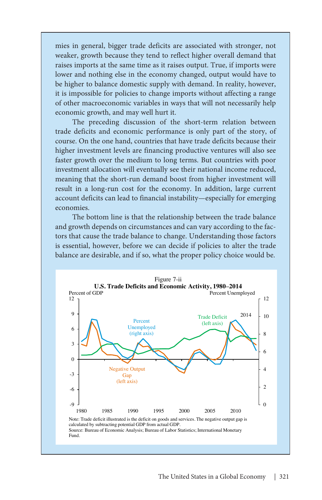mies in general, bigger trade deficits are associated with stronger, not weaker, growth because they tend to reflect higher overall demand that raises imports at the same time as it raises output. True, if imports were lower and nothing else in the economy changed, output would have to be higher to balance domestic supply with demand. In reality, however, it is impossible for policies to change imports without affecting a range of other macroeconomic variables in ways that will not necessarily help economic growth, and may well hurt it.

The preceding discussion of the short-term relation between trade deficits and economic performance is only part of the story, of course. On the one hand, countries that have trade deficits because their higher investment levels are financing productive ventures will also see faster growth over the medium to long terms. But countries with poor investment allocation will eventually see their national income reduced, meaning that the short-run demand boost from higher investment will result in a long-run cost for the economy. In addition, large current account deficits can lead to financial instability—especially for emerging economies.

The bottom line is that the relationship between the trade balance and growth depends on circumstances and can vary according to the factors that cause the trade balance to change. Understanding those factors is essential, however, before we can decide if policies to alter the trade balance are desirable, and if so, what the proper policy choice would be.

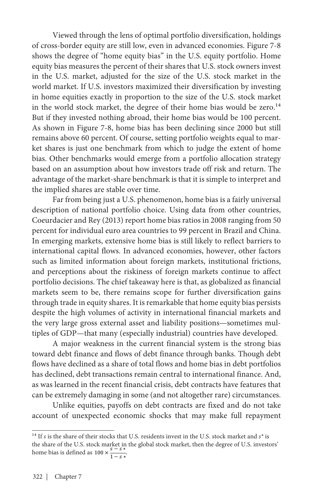Viewed through the lens of optimal portfolio diversification, holdings of cross-border equity are still low, even in advanced economies. Figure 7-8 shows the degree of "home equity bias" in the U.S. equity portfolio. Home equity bias measures the percent of their shares that U.S. stock owners invest in the U.S. market, adjusted for the size of the U.S. stock market in the world market. If U.S. investors maximized their diversification by investing in home equities exactly in proportion to the size of the U.S. stock market in the world stock market, the degree of their home bias would be zero. $14$ But if they invested nothing abroad, their home bias would be 100 percent. As shown in Figure 7-8, home bias has been declining since 2000 but still remains above 60 percent. Of course, setting portfolio weights equal to market shares is just one benchmark from which to judge the extent of home bias. Other benchmarks would emerge from a portfolio allocation strategy based on an assumption about how investors trade off risk and return. The advantage of the market-share benchmark is that it is simple to interpret and the implied shares are stable over time.

Far from being just a U.S. phenomenon, home bias is a fairly universal description of national portfolio choice. Using data from other countries, Coeurdacier and Rey (2013) report home bias ratios in 2008 ranging from 50 percent for individual euro area countries to 99 percent in Brazil and China. In emerging markets, extensive home bias is still likely to reflect barriers to international capital flows. In advanced economies, however, other factors such as limited information about foreign markets, institutional frictions, and perceptions about the riskiness of foreign markets continue to affect portfolio decisions. The chief takeaway here is that, as globalized as financial markets seem to be, there remains scope for further diversification gains through trade in equity shares. It is remarkable that home equity bias persists despite the high volumes of activity in international financial markets and the very large gross external asset and liability positions—sometimes multiples of GDP—that many (especially industrial) countries have developed.

A major weakness in the current financial system is the strong bias toward debt finance and flows of debt finance through banks. Though debt flows have declined as a share of total flows and home bias in debt portfolios has declined, debt transactions remain central to international finance. And, as was learned in the recent financial crisis, debt contracts have features that can be extremely damaging in some (and not altogether rare) circumstances.

Unlike equities, payoffs on debt contracts are fixed and do not take account of unexpected economic shocks that may make full repayment

<sup>14</sup> If *s* is the share of their stocks that U.S. residents invest in the U.S. stock market and *s\** is the share of the U.S. stock market in the global stock market, then the degree of U.S. investors' home bias is defined as  $100 \times \frac{s - s * }{1 - s *}$ .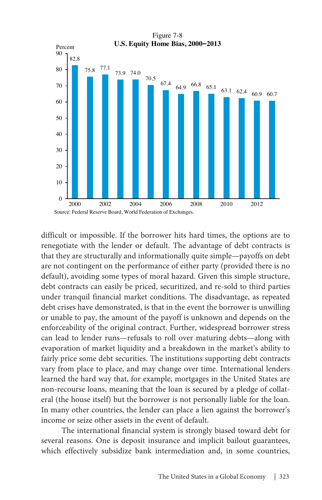

difficult or impossible. If the borrower hits hard times, the options are to renegotiate with the lender or default. The advantage of debt contracts is that they are structurally and informationally quite simple—payoffs on debt are not contingent on the performance of either party (provided there is no default), avoiding some types of moral hazard. Given this simple structure, debt contracts can easily be priced, securitized, and re-sold to third parties under tranquil financial market conditions. The disadvantage, as repeated debt crises have demonstrated, is that in the event the borrower is unwilling or unable to pay, the amount of the payoff is unknown and depends on the enforceability of the original contract. Further, widespread borrower stress can lead to lender runs—refusals to roll over maturing debts—along with evaporation of market liquidity and a breakdown in the market's ability to fairly price some debt securities. The institutions supporting debt contracts vary from place to place, and may change over time. International lenders learned the hard way that, for example, mortgages in the United States are non-recourse loans, meaning that the loan is secured by a pledge of collateral (the house itself) but the borrower is not personally liable for the loan. In many other countries, the lender can place a lien against the borrower's income or seize other assets in the event of default.

The international financial system is strongly biased toward debt for several reasons. One is deposit insurance and implicit bailout guarantees, which effectively subsidize bank intermediation and, in some countries,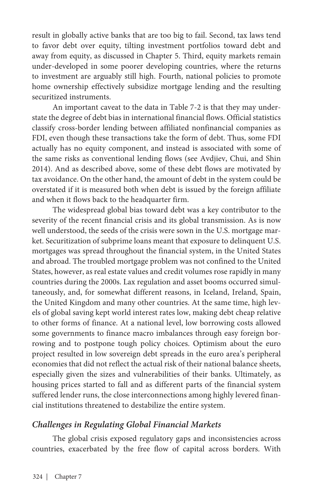result in globally active banks that are too big to fail. Second, tax laws tend to favor debt over equity, tilting investment portfolios toward debt and away from equity, as discussed in Chapter 5. Third, equity markets remain under-developed in some poorer developing countries, where the returns to investment are arguably still high. Fourth, national policies to promote home ownership effectively subsidize mortgage lending and the resulting securitized instruments.

An important caveat to the data in Table 7-2 is that they may understate the degree of debt bias in international financial flows. Official statistics classify cross-border lending between affiliated nonfinancial companies as FDI, even though these transactions take the form of debt. Thus, some FDI actually has no equity component, and instead is associated with some of the same risks as conventional lending flows (see Avdjiev, Chui, and Shin 2014). And as described above, some of these debt flows are motivated by tax avoidance. On the other hand, the amount of debt in the system could be overstated if it is measured both when debt is issued by the foreign affiliate and when it flows back to the headquarter firm.

The widespread global bias toward debt was a key contributor to the severity of the recent financial crisis and its global transmission. As is now well understood, the seeds of the crisis were sown in the U.S. mortgage mar– ket. Securitization of subprime loans meant that exposure to delinquent U.S. mortgages was spread throughout the financial system, in the United States and abroad. The troubled mortgage problem was not confined to the United States, however, as real estate values and credit volumes rose rapidly in many countries during the 2000s. Lax regulation and asset booms occurred simultaneously, and, for somewhat different reasons, in Iceland, Ireland, Spain, the United Kingdom and many other countries. At the same time, high levels of global saving kept world interest rates low, making debt cheap relative to other forms of finance. At a national level, low borrowing costs allowed some governments to finance macro imbalances through easy foreign borrowing and to postpone tough policy choices. Optimism about the euro project resulted in low sovereign debt spreads in the euro area's peripheral economies that did not reflect the actual risk of their national balance sheets, especially given the sizes and vulnerabilities of their banks. Ultimately, as housing prices started to fall and as different parts of the financial system suffered lender runs, the close interconnections among highly levered financial institutions threatened to destabilize the entire system.

## *Challenges in Regulating Global Financial Markets*

The global crisis exposed regulatory gaps and inconsistencies across countries, exacerbated by the free flow of capital across borders. With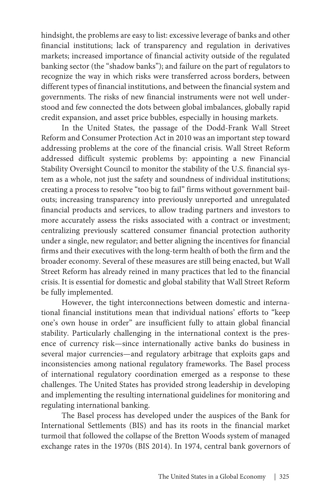hindsight, the problems are easy to list: excessive leverage of banks and other financial institutions; lack of transparency and regulation in derivatives markets; increased importance of financial activity outside of the regulated banking sector (the "shadow banks"); and failure on the part of regulators to recognize the way in which risks were transferred across borders, between different types of financial institutions, and between the financial system and governments. The risks of new financial instruments were not well understood and few connected the dots between global imbalances, globally rapid credit expansion, and asset price bubbles, especially in housing markets.

In the United States, the passage of the Dodd-Frank Wall Street Reform and Consumer Protection Act in 2010 was an important step toward addressing problems at the core of the financial crisis. Wall Street Reform addressed difficult systemic problems by: appointing a new Financial Stability Oversight Council to monitor the stability of the U.S. financial system as a whole, not just the safety and soundness of individual institutions; creating a process to resolve "too big to fail" firms without government bailouts; increasing transparency into previously unreported and unregulated financial products and services, to allow trading partners and investors to more accurately assess the risks associated with a contract or investment; centralizing previously scattered consumer financial protection authority under a single, new regulator; and better aligning the incentives for financial firms and their executives with the long-term health of both the firm and the broader economy. Several of these measures are still being enacted, but Wall Street Reform has already reined in many practices that led to the financial crisis. It is essential for domestic and global stability that Wall Street Reform be fully implemented.

However, the tight interconnections between domestic and international financial institutions mean that individual nations' efforts to "keep one's own house in order" are insufficient fully to attain global financial stability. Particularly challenging in the international context is the presence of currency risk—since internationally active banks do business in several major currencies—and regulatory arbitrage that exploits gaps and inconsistencies among national regulatory frameworks. The Basel process of international regulatory coordination emerged as a response to these challenges. The United States has provided strong leadership in developing and implementing the resulting international guidelines for monitoring and regulating international banking.

The Basel process has developed under the auspices of the Bank for International Settlements (BIS) and has its roots in the financial market turmoil that followed the collapse of the Bretton Woods system of managed exchange rates in the 1970s (BIS 2014). In 1974, central bank governors of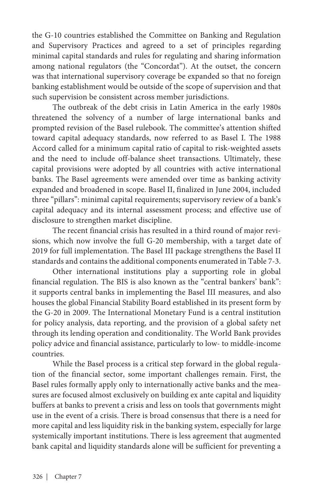the G-10 countries established the Committee on Banking and Regulation and Supervisory Practices and agreed to a set of principles regarding minimal capital standards and rules for regulating and sharing information among national regulators (the "Concordat"). At the outset, the concern was that international supervisory coverage be expanded so that no foreign banking establishment would be outside of the scope of supervision and that such supervision be consistent across member jurisdictions.

The outbreak of the debt crisis in Latin America in the early 1980s threatened the solvency of a number of large international banks and prompted revision of the Basel rulebook. The committee's attention shifted toward capital adequacy standards, now referred to as Basel I. The 1988 Accord called for a minimum capital ratio of capital to risk-weighted assets and the need to include off-balance sheet transactions. Ultimately, these capital provisions were adopted by all countries with active international banks. The Basel agreements were amended over time as banking activity expanded and broadened in scope. Basel II, finalized in June 2004, included three "pillars": minimal capital requirements; supervisory review of a bank's capital adequacy and its internal assessment process; and effective use of disclosure to strengthen market discipline.

The recent financial crisis has resulted in a third round of major revisions, which now involve the full G-20 membership, with a target date of 2019 for full implementation. The Basel III package strengthens the Basel II standards and contains the additional components enumerated in Table 7-3.

Other international institutions play a supporting role in global financial regulation. The BIS is also known as the "central bankers' bank": it supports central banks in implementing the Basel III measures, and also houses the global Financial Stability Board established in its present form by the G-20 in 2009. The International Monetary Fund is a central institution for policy analysis, data reporting, and the provision of a global safety net through its lending operation and conditionality. The World Bank provides policy advice and financial assistance, particularly to low- to middle-income countries.

While the Basel process is a critical step forward in the global regulation of the financial sector, some important challenges remain. First, the Basel rules formally apply only to internationally active banks and the measures are focused almost exclusively on building ex ante capital and liquidity buffers at banks to prevent a crisis and less on tools that governments might use in the event of a crisis. There is broad consensus that there is a need for more capital and less liquidity risk in the banking system, especially for large systemically important institutions. There is less agreement that augmented bank capital and liquidity standards alone will be sufficient for preventing a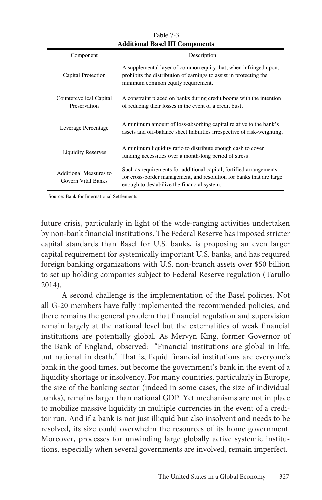| Component                                    | Description                                                                                                                                                                                |  |
|----------------------------------------------|--------------------------------------------------------------------------------------------------------------------------------------------------------------------------------------------|--|
| Capital Protection                           | A supplemental layer of common equity that, when infringed upon,<br>prohibits the distribution of earnings to assist in protecting the<br>minimum common equity requirement.               |  |
| Countercyclical Capital<br>Preservation      | A constraint placed on banks during credit booms with the intention<br>of reducing their losses in the event of a credit bust.                                                             |  |
| Leverage Percentage                          | A minimum amount of loss-absorbing capital relative to the bank's<br>assets and off-balance sheet liabilities irrespective of risk-weighting.                                              |  |
| <b>Liquidity Reserves</b>                    | A minimum liquidity ratio to distribute enough cash to cover<br>funding necessities over a month-long period of stress.                                                                    |  |
| Additional Measures to<br>Govern Vital Banks | Such as requirements for additional capital, fortified arrangements<br>for cross-border management, and resolution for banks that are large<br>enough to destabilize the financial system. |  |

Table 7-3 **Additional Basel III Components**

Source: Bank for International Settlements.

future crisis, particularly in light of the wide-ranging activities undertaken by non-bank financial institutions. The Federal Reserve has imposed stricter capital standards than Basel for U.S. banks, is proposing an even larger capital requirement for systemically important U.S. banks, and has required foreign banking organizations with U.S. non-branch assets over \$50 billion to set up holding companies subject to Federal Reserve regulation (Tarullo 2014).

A second challenge is the implementation of the Basel policies. Not all G-20 members have fully implemented the recommended policies, and there remains the general problem that financial regulation and supervision remain largely at the national level but the externalities of weak financial institutions are potentially global. As Mervyn King, former Governor of the Bank of England, observed: "Financial institutions are global in life, but national in death." That is, liquid financial institutions are everyone's bank in the good times, but become the government's bank in the event of a liquidity shortage or insolvency. For many countries, particularly in Europe, the size of the banking sector (indeed in some cases, the size of individual banks), remains larger than national GDP. Yet mechanisms are not in place to mobilize massive liquidity in multiple currencies in the event of a creditor run. And if a bank is not just illiquid but also insolvent and needs to be resolved, its size could overwhelm the resources of its home government. Moreover, processes for unwinding large globally active systemic institutions, especially when several governments are involved, remain imperfect.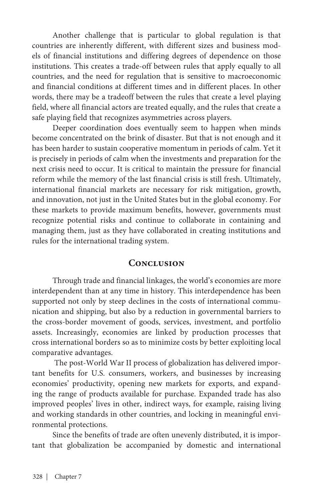Another challenge that is particular to global regulation is that countries are inherently different, with different sizes and business models of financial institutions and differing degrees of dependence on those institutions. This creates a trade-off between rules that apply equally to all countries, and the need for regulation that is sensitive to macroeconomic and financial conditions at different times and in different places. In other words, there may be a tradeoff between the rules that create a level playing field, where all financial actors are treated equally, and the rules that create a safe playing field that recognizes asymmetries across players.

Deeper coordination does eventually seem to happen when minds become concentrated on the brink of disaster. But that is not enough and it has been harder to sustain cooperative momentum in periods of calm. Yet it is precisely in periods of calm when the investments and preparation for the next crisis need to occur. It is critical to maintain the pressure for financial reform while the memory of the last financial crisis is still fresh. Ultimately, international financial markets are necessary for risk mitigation, growth, and innovation, not just in the United States but in the global economy. For these markets to provide maximum benefits, however, governments must recognize potential risks and continue to collaborate in containing and managing them, just as they have collaborated in creating institutions and rules for the international trading system.

#### **Conclusion**

Through trade and financial linkages, the world's economies are more interdependent than at any time in history. This interdependence has been supported not only by steep declines in the costs of international communication and shipping, but also by a reduction in governmental barriers to the cross-border movement of goods, services, investment, and portfolio assets. Increasingly, economies are linked by production processes that cross international borders so as to minimize costs by better exploiting local comparative advantages.

The post-World War II process of globalization has delivered important benefits for U.S. consumers, workers, and businesses by increasing economies' productivity, opening new markets for exports, and expanding the range of products available for purchase. Expanded trade has also improved peoples' lives in other, indirect ways, for example, raising living and working standards in other countries, and locking in meaningful environmental protections.

Since the benefits of trade are often unevenly distributed, it is important that globalization be accompanied by domestic and international